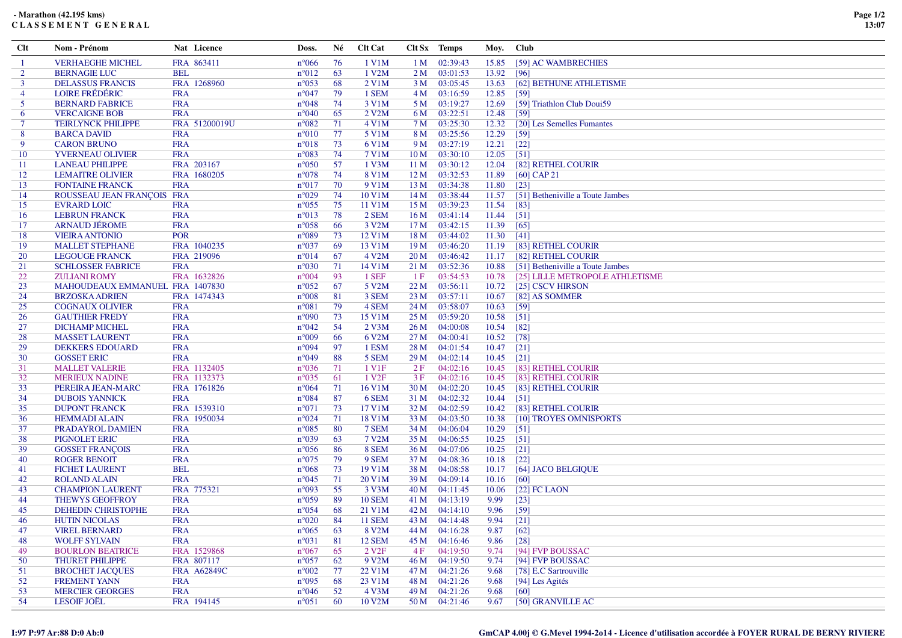## **- Marathon (42.195 kms)C L A S S E M E N T G E N E R A L**

| Clt            | Nom - Prénom                    | Nat Licence   | Doss.          | Né  | <b>Clt Cat</b>     |                 | Clt Sx Temps  | Moy.  | <b>Club</b>                      |
|----------------|---------------------------------|---------------|----------------|-----|--------------------|-----------------|---------------|-------|----------------------------------|
| -1             | <b>VERHAEGHE MICHEL</b>         | FRA 863411    | $n^{\circ}066$ | 76  | 1 V1M              | 1 M             | 02:39:43      | 15.85 | [59] AC WAMBRECHIES              |
| 2              | <b>BERNAGIE LUC</b>             | <b>BEL</b>    | $n^{\circ}012$ | 63  | 1 V2M              | 2 <sub>M</sub>  | 03:01:53      | 13.92 | [96]                             |
| $\overline{3}$ | <b>DELASSUS FRANCIS</b>         | FRA 1268960   | $n^{\circ}053$ | -68 | 2 V1M              | 3 M             | 03:05:45      | 13.63 | [62] BETHUNE ATHLETISME          |
| $\overline{4}$ | <b>LOIRE FRÉDÉRIC</b>           | <b>FRA</b>    | $n^{\circ}047$ | 79  | 1 SEM              | 4 M             | 03:16:59      | 12.85 | [59]                             |
| 5              | <b>BERNARD FABRICE</b>          | <b>FRA</b>    | $n^{\circ}048$ | -74 | 3 V1M              |                 | 5 M 03:19:27  | 12.69 | [59] Triathlon Club Doui59       |
| -6             | <b>VERCAIGNE BOB</b>            | <b>FRA</b>    | $n^{\circ}040$ | 65  | 2 V <sub>2</sub> M | 6 M             | 03:22:51      | 12.48 | [59]                             |
| -7             | <b>TEIRLYNCK PHILIPPE</b>       | FRA 51200019U | $n^{\circ}082$ | 71  | 4 V1M              | 7 M             | 03:25:30      | 12.32 | [20] Les Semelles Fumantes       |
| 8              | <b>BARCA DAVID</b>              | <b>FRA</b>    | $n^{\circ}010$ | 77  | 5 V1M              | 8 M             | 03:25:56      | 12.29 | $[59]$                           |
| 9              | <b>CARON BRUNO</b>              | <b>FRA</b>    | $n^{\circ}018$ | 73  | 6 V1M              | 9 M             | 03:27:19      | 12.21 | $[22]$                           |
| 10             | <b>YVERNEAU OLIVIER</b>         | <b>FRA</b>    | $n^{\circ}083$ | 74  | 7 V1M              | 10 M            | 03:30:10      | 12.05 | $\lceil 51 \rceil$               |
| 11             | <b>LANEAU PHILIPPE</b>          | FRA 203167    | $n^{\circ}050$ | 57  | 1 V3M              | 11 <sub>M</sub> | 03:30:12      | 12.04 | [82] RETHEL COURIR               |
| 12             | <b>LEMAITRE OLIVIER</b>         | FRA 1680205   | $n^{\circ}078$ | -74 | 8 V1M              | 12 M            | 03:32:53      | 11.89 | $[60]$ CAP 21                    |
| 13             | <b>FONTAINE FRANCK</b>          | <b>FRA</b>    | $n^{\circ}017$ | 70  | 9 V1M              | 13 M            | 03:34:38      | 11.80 | $[23]$                           |
| 14             | ROUSSEAU JEAN FRANÇOIS FRA      |               | $n^{\circ}029$ | 74  | 10 V1M             | 14M             | 03:38:44      | 11.57 | [51] Betheniville a Toute Jambes |
| 15             | <b>EVRARD LOIC</b>              | <b>FRA</b>    | $n^{\circ}055$ | 75  | 11 V1M             | 15 M            | 03:39:23      | 11.54 | [83]                             |
| 16             | <b>LEBRUN FRANCK</b>            | <b>FRA</b>    | $n^{\circ}013$ | 78  | 2 SEM              | 16M             | 03:41:14      | 11.44 | [51]                             |
| 17             | <b>ARNAUD JÉROME</b>            | <b>FRA</b>    | $n^{\circ}058$ | -66 | 3 V2M              | 17 <sub>M</sub> | 03:42:15      | 11.39 | [65]                             |
| 18             | <b>VIEIRA ANTONIO</b>           | <b>POR</b>    | $n^{\circ}089$ | 73  | 12 V1M             | 18 M            | 03:44:02      | 11.30 | [41]                             |
| 19             | <b>MALLET STEPHANE</b>          | FRA 1040235   | $n^{\circ}037$ | -69 | 13 V1M             | 19 M            | 03:46:20      | 11.19 | [83] RETHEL COURIR               |
| 20             | <b>LEGOUGE FRANCK</b>           | FRA 219096    | $n^{\circ}014$ | -67 | 4 V2M              | 20 M            | 03:46:42      | 11.17 | [82] RETHEL COURIR               |
| 21             | <b>SCHLOSSER FABRICE</b>        | <b>FRA</b>    | $n^{\circ}030$ | 71  | 14 V1M             | 21 M            | 03:52:36      | 10.88 | [51] Betheniville a Toute Jambes |
| 22             | <b>ZULIANI ROMY</b>             | FRA 1632826   | $n^{\circ}004$ | -93 | 1 SEF              | 1F              | 03:54:53      | 10.78 | [25] LILLE METROPOLE ATHLETISME  |
| 23             | MAHOUDEAUX EMMANUEL FRA 1407830 |               | $n^{\circ}052$ | 67  | 5 V2M              | 22 M            | 03:56:11      | 10.72 | [25] CSCV HIRSON                 |
| 24             | <b>BRZOSKA ADRIEN</b>           | FRA 1474343   | $n^{\circ}008$ | 81  | 3 SEM              |                 | 23 M 03:57:11 | 10.67 | [82] AS SOMMER                   |
| 25             | <b>COGNAUX OLIVIER</b>          | <b>FRA</b>    | $n^{\circ}081$ | 79  | 4 SEM              | 24 M            | 03:58:07      | 10.63 | $[59]$                           |
| 26             | <b>GAUTHIER FREDY</b>           | <b>FRA</b>    | $n^{\circ}090$ | 73  | 15 V1M             | 25 M            | 03:59:20      | 10.58 | [51]                             |
| 27             | <b>DICHAMP MICHEL</b>           | <b>FRA</b>    | $n^{\circ}042$ | -54 | $2$ V3M            | 26 M            | 04:00:08      | 10.54 | [82]                             |
| 28             | <b>MASSET LAURENT</b>           | <b>FRA</b>    | $n^{\circ}009$ | -66 | 6 V2M              | 27 M            | 04:00:41      | 10.52 | [78]                             |
| 29             | <b>DEKKERS EDOUARD</b>          | <b>FRA</b>    | $n^{\circ}094$ | -97 | 1 ESM              | 28 M            | 04:01:54      | 10.47 | $[21]$                           |
| 30             | <b>GOSSET ERIC</b>              | <b>FRA</b>    | $n^{\circ}049$ | 88  | 5 SEM              | 29 <sub>M</sub> | 04:02:14      | 10.45 | $\lceil 21 \rceil$               |
| 31             | <b>MALLET VALERIE</b>           | FRA 1132405   | $n^{\circ}036$ | 71  | 1 V1F              | 2F              | 04:02:16      | 10.45 | [83] RETHEL COURIR               |
| 32             | <b>MERIEUX NADINE</b>           | FRA 1132373   | $n^{\circ}035$ | -61 | 1 V <sub>2F</sub>  | 3F              | 04:02:16      | 10.45 | [83] RETHEL COURIR               |
| 33             | PEREIRA JEAN-MARC               | FRA 1761826   | $n^{\circ}064$ | 71  | 16 V1M             | 30 <sub>M</sub> | 04:02:20      | 10.45 | [83] RETHEL COURIR               |
| 34             | <b>DUBOIS YANNICK</b>           | <b>FRA</b>    | $n^{\circ}084$ | -87 | 6 SEM              | 31 M            | 04:02:32      | 10.44 | [51]                             |
| 35             | <b>DUPONT FRANCK</b>            | FRA 1539310   | $n^{\circ}071$ | 73  | 17 V1M             | 32 M            | 04:02:59      | 10.42 | [83] RETHEL COURIR               |
| 36             | <b>HEMMADI ALAIN</b>            | FRA 1950034   | $n^{\circ}024$ | 71  | 18 V1M             | 33 M            | 04:03:50      | 10.38 | [10] TROYES OMNISPORTS           |
| 37             | PRADAYROL DAMIEN                | <b>FRA</b>    | $n^{\circ}085$ | -80 | 7 SEM              | 34 M            | 04:06:04      | 10.29 | [51]                             |
| 38             | <b>PIGNOLET ERIC</b>            | <b>FRA</b>    | $n^{\circ}039$ | -63 | 7 V2M              | 35 M            | 04:06:55      | 10.25 | $[51]$                           |
| 39             | <b>GOSSET FRANÇOIS</b>          | <b>FRA</b>    | $n^{\circ}056$ | 86  | 8 SEM              | 36 M            | 04:07:06      | 10.25 | $[21]$                           |
| 40             | <b>ROGER BENOIT</b>             | <b>FRA</b>    | $n^{\circ}075$ | 79  | 9 SEM              | 37 M            | 04:08:36      | 10.18 | $\lceil 22 \rceil$               |
| -41            | <b>FICHET LAURENT</b>           | <b>BEL</b>    | $n^{\circ}068$ | 73  | 19 V1M             | 38 M            | 04:08:58      | 10.17 | [64] JACO BELGIQUE               |
| 42             | <b>ROLAND ALAIN</b>             | <b>FRA</b>    | $n^{\circ}045$ | 71  | 20 V1M             | 39 M            | 04:09:14      | 10.16 | [60]                             |
| 43             | <b>CHAMPION LAURENT</b>         | FRA 775321    | $n^{\circ}093$ | 55  | 3 V <sub>3</sub> M |                 | 40 M 04:11:45 | 10.06 | $[22]$ FC LAON                   |
| 44             | <b>THEWYS GEOFFROY</b>          | <b>FRA</b>    | $n^{\circ}059$ | -89 | <b>10 SEM</b>      | 41 M            | 04:13:19      | 9.99  | $[23]$                           |
| 45             | <b>DEHEDIN CHRISTOPHE</b>       | <b>FRA</b>    | $n^{\circ}054$ | 68  | 21 V1M             | 42 M            | 04:14:10      | 9.96  | $[59]$                           |
| 46             | <b>HUTIN NICOLAS</b>            | <b>FRA</b>    | $n^{\circ}020$ | 84  | <b>11 SEM</b>      |                 | 43 M 04:14:48 | 9.94  | $[21]$                           |
| 47             | <b>VIREL BERNARD</b>            | <b>FRA</b>    | $n^{\circ}065$ | 63  | 8 V2M              |                 | 44 M 04:16:28 | 9.87  | [62]                             |
| 48             | <b>WOLFF SYLVAIN</b>            | <b>FRA</b>    | $n^{\circ}031$ | 81  | <b>12 SEM</b>      | 45 M            | 04:16:46      | 9.86  | $[28]$                           |
| 49             | <b>BOURLON BEATRICE</b>         | FRA 1529868   | $n^{\circ}067$ | 65  | 2 V <sub>2</sub> F | 4F              | 04:19:50      | 9.74  | [94] FVP BOUSSAC                 |
| 50             | <b>THURET PHILIPPE</b>          | FRA 807117    | $n^{\circ}057$ | 62  | 9 V <sub>2</sub> M | 46 M            | 04:19:50      | 9.74  | [94] FVP BOUSSAC                 |
| 51             | <b>BROCHET JACQUES</b>          | FRA A62849C   | $n^{\circ}002$ | 77  | 22 V1M             | 47 M            | 04:21:26      | 9.68  | [78] E.C Sartrouville            |
| 52             | <b>FREMENT YANN</b>             | <b>FRA</b>    | $n^{\circ}095$ | 68  | 23 V1M             | 48 M            | 04:21:26      | 9.68  | [94] Les Agités                  |
| 53             | <b>MERCIER GEORGES</b>          | <b>FRA</b>    | $n^{\circ}046$ | 52  | 4 V3M              | 49 M            | 04:21:26      | 9.68  | [60]                             |
| 54             | <b>LESOIF JOËL</b>              | FRA 194145    | $n^{\circ}051$ | 60  | 10 V2M             |                 | 50 M 04:21:46 | 9.67  | [50] GRANVILLE AC                |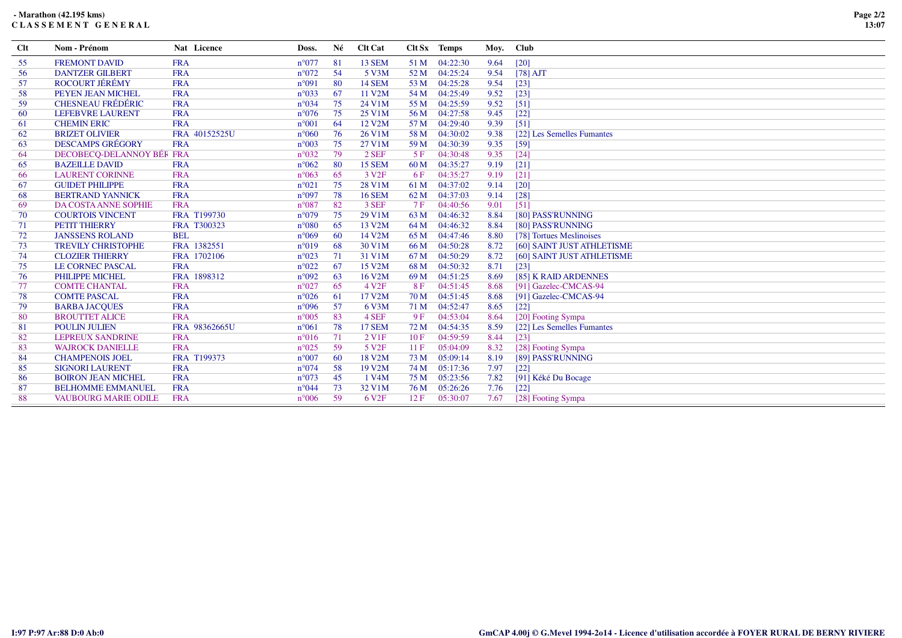## **- Marathon (42.195 kms)C L A S S E M E N T G E N E R A L**

| Clt | Nom - Prénom                | Nat Licence   | Doss.          | Né | <b>Clt Cat</b>     |      | Clt Sx Temps | Moy. | <b>Club</b>                |
|-----|-----------------------------|---------------|----------------|----|--------------------|------|--------------|------|----------------------------|
| 55  | <b>FREMONT DAVID</b>        | <b>FRA</b>    | $n^{\circ}077$ | 81 | 13 SEM             | 51 M | 04:22:30     | 9.64 | $[20]$                     |
| 56  | <b>DANTZER GILBERT</b>      | <b>FRA</b>    | $n^{\circ}072$ | 54 | 5 V3M              | 52 M | 04:25:24     | 9.54 | $[78]$ AJT                 |
| 57  | <b>ROCOURT JÉRÉMY</b>       | <b>FRA</b>    | $n^{\circ}091$ | 80 | <b>14 SEM</b>      | 53 M | 04:25:28     | 9.54 | $[23]$                     |
| 58  | PEYEN JEAN MICHEL           | <b>FRA</b>    | $n^{\circ}033$ | 67 | 11 V2M             | 54 M | 04:25:49     | 9.52 | $[23]$                     |
| 59  | <b>CHESNEAU FRÉDÉRIC</b>    | <b>FRA</b>    | $n^{\circ}034$ | 75 | 24 V1M             | 55 M | 04:25:59     | 9.52 | [51]                       |
| 60  | LEFEBVRE LAURENT            | <b>FRA</b>    | $n^{\circ}076$ | 75 | 25 V1M             | 56 M | 04:27:58     | 9.45 | $[22]$                     |
| 61  | <b>CHEMIN ERIC</b>          | <b>FRA</b>    | $n^{\circ}001$ | 64 | 12 V2M             | 57 M | 04:29:40     | 9.39 | [51]                       |
| 62  | <b>BRIZET OLIVIER</b>       | FRA 40152525U | $n^{\circ}060$ | 76 | 26 V1M             | 58 M | 04:30:02     | 9.38 | [22] Les Semelles Fumantes |
| 63  | <b>DESCAMPS GRÉGORY</b>     | <b>FRA</b>    | $n^{\circ}003$ | 75 | 27 V1M             | 59 M | 04:30:39     | 9.35 | [59]                       |
| 64  | DECOBECQ-DELANNOY BÉR FRA   |               | $n^{\circ}032$ | 79 | 2 SEF              | 5F   | 04:30:48     | 9.35 | $[24]$                     |
| 65  | <b>BAZEILLE DAVID</b>       | <b>FRA</b>    | $n^{\circ}062$ | 80 | 15 SEM             | 60 M | 04:35:27     | 9.19 | [21]                       |
| 66  | <b>LAURENT CORINNE</b>      | <b>FRA</b>    | $n^{\circ}063$ | 65 | 3 V <sub>2F</sub>  | 6 F  | 04:35:27     | 9.19 | $[21]$                     |
| 67  | <b>GUIDET PHILIPPE</b>      | <b>FRA</b>    | $n^{\circ}021$ | 75 | 28 V1M             | 61 M | 04:37:02     | 9.14 | [20]                       |
| 68  | <b>BERTRAND YANNICK</b>     | <b>FRA</b>    | $n^{\circ}097$ | 78 | <b>16 SEM</b>      | 62 M | 04:37:03     | 9.14 | $[28]$                     |
| 69  | DA COSTA ANNE SOPHIE        | <b>FRA</b>    | $n^{\circ}087$ | 82 | 3 SEF              | 7 F  | 04:40:56     | 9.01 | [51]                       |
| 70  | <b>COURTOIS VINCENT</b>     | FRA T199730   | $n^{\circ}079$ | 75 | 29 V1M             | 63 M | 04:46:32     | 8.84 | [80] PASS'RUNNING          |
| 71  | <b>PETIT THIERRY</b>        | FRA T300323   | $n^{\circ}080$ | 65 | 13 V2M             | 64 M | 04:46:32     | 8.84 | [80] PASS'RUNNING          |
| 72  | <b>JANSSENS ROLAND</b>      | <b>BEL</b>    | $n^{\circ}069$ | 60 | 14 V2M             | 65 M | 04:47:46     | 8.80 | [78] Tortues Meslinoises   |
| 73  | <b>TREVILY CHRISTOPHE</b>   | FRA 1382551   | $n^{\circ}019$ | 68 | 30 V1M             | 66 M | 04:50:28     | 8.72 | [60] SAINT JUST ATHLETISME |
| 74  | <b>CLOZIER THIERRY</b>      | FRA 1702106   | $n^{\circ}023$ | 71 | 31 V1M             | 67 M | 04:50:29     | 8.72 | [60] SAINT JUST ATHLETISME |
| 75  | <b>LE CORNEC PASCAL</b>     | <b>FRA</b>    | $n^{\circ}022$ | 67 | 15 V2M             | 68 M | 04:50:32     | 8.71 | [23]                       |
| 76  | PHILIPPE MICHEL             | FRA 1898312   | $n^{\circ}092$ | 63 | 16 V2M             | 69 M | 04:51:25     | 8.69 | [85] K RAID ARDENNES       |
| 77  | <b>COMTE CHANTAL</b>        | <b>FRA</b>    | $n^{\circ}027$ | 65 | 4 V <sub>2F</sub>  | 8F   | 04:51:45     | 8.68 | [91] Gazelec-CMCAS-94      |
| 78  | <b>COMTE PASCAL</b>         | <b>FRA</b>    | $n^{\circ}026$ | 61 | 17 V2M             | 70 M | 04:51:45     | 8.68 | [91] Gazelec-CMCAS-94      |
| 79  | <b>BARBA JACOUES</b>        | <b>FRA</b>    | $n^{\circ}096$ | 57 | 6 V3M              | 71 M | 04:52:47     | 8.65 | $[22]$                     |
| 80  | <b>BROUTTET ALICE</b>       | <b>FRA</b>    | $n^{\circ}005$ | 83 | 4 SEF              | 9F   | 04:53:04     | 8.64 | [20] Footing Sympa         |
| 81  | <b>POULIN JULIEN</b>        | FRA 98362665U | $n^{\circ}061$ | 78 | <b>17 SEM</b>      | 72 M | 04:54:35     | 8.59 | [22] Les Semelles Fumantes |
| 82  | <b>LEPREUX SANDRINE</b>     | <b>FRA</b>    | $n^{\circ}016$ | 71 | 2 V <sub>1F</sub>  | 10F  | 04:59:59     | 8.44 | $[23]$                     |
| 83  | <b>WAJROCK DANIELLE</b>     | <b>FRA</b>    | $n^{\circ}025$ | 59 | 5 V <sub>2F</sub>  | 11F  | 05:04:09     | 8.32 | [28] Footing Sympa         |
| 84  | <b>CHAMPENOIS JOEL</b>      | FRA T199373   | $n^{\circ}007$ | 60 | 18 V2M             | 73 M | 05:09:14     | 8.19 | [89] PASS'RUNNING          |
| 85  | <b>SIGNORI LAURENT</b>      | <b>FRA</b>    | $n^{\circ}074$ | 58 | 19 V2M             | 74 M | 05:17:36     | 7.97 | $[22]$                     |
| 86  | <b>BOIRON JEAN MICHEL</b>   | <b>FRA</b>    | $n^{\circ}073$ | 45 | 1 V <sub>4</sub> M | 75 M | 05:23:56     | 7.82 | [91] Kéké Du Bocage        |
| 87  | <b>BELHOMME EMMANUEL</b>    | <b>FRA</b>    | $n^{\circ}044$ | 73 | 32 V1M             | 76 M | 05:26:26     | 7.76 | $[22]$                     |
| 88  | <b>VAUBOURG MARIE ODILE</b> | <b>FRA</b>    | $n^{\circ}006$ | 59 | 6 V <sub>2F</sub>  | 12F  | 05:30:07     | 7.67 | [28] Footing Sympa         |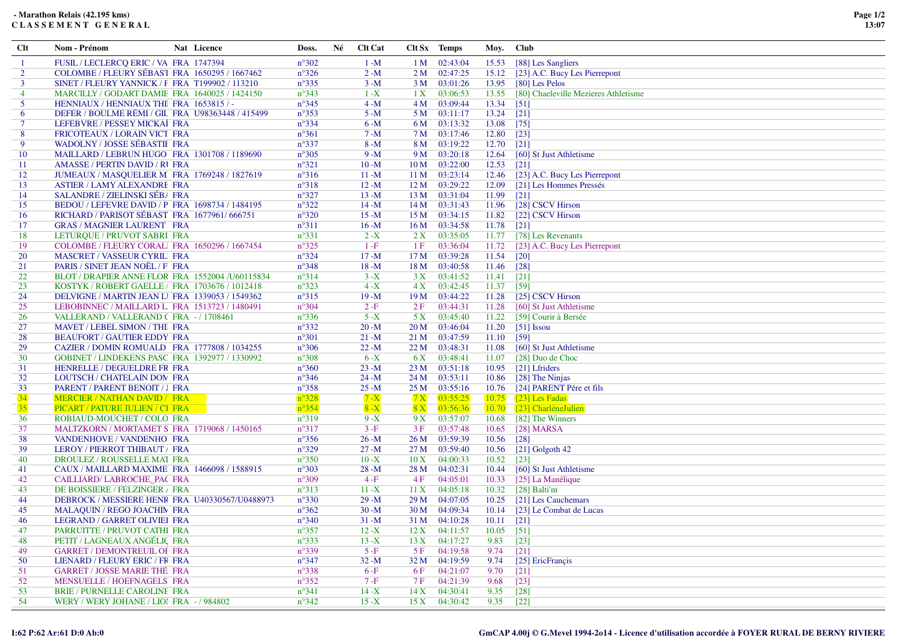| Clt            | Nom - Prénom                                                                     | Nat Licence | Doss.                            | Né | <b>Clt Cat</b>       | Clt Sx Temps    |                       | Moy.           | <b>Club</b>                          |
|----------------|----------------------------------------------------------------------------------|-------------|----------------------------------|----|----------------------|-----------------|-----------------------|----------------|--------------------------------------|
|                | FUSIL / LECLERCQ ERIC / VA FRA 1747394                                           |             | $n^{\circ}302$                   |    | $1 - M$              | 1 M             | 02:43:04              | 15.53          | [88] Les Sangliers                   |
| $\overline{2}$ | COLOMBE / FLEURY SÉBAST FRA 1650295 / 1667462                                    |             | $n^{\circ}326$                   |    | $2 - M$              |                 | $2 M$ 02:47:25        | 15.12          | [23] A.C. Bucy Les Pierrepont        |
| $\overline{3}$ | SINET / FLEURY YANNICK / F FRA T199902 / 113210                                  |             | $n^{\circ}335$                   |    | $3 - M$              | 3 M             | 03:01:26              | 13.95          | [80] Les Pelos                       |
| $\overline{4}$ | MARCILLY / GODART DAMIE FRA 1640025 / 1424150                                    |             | $n^{\circ}343$                   |    | $1 - X$              | 1 X             | 03:06:53              | 13.55          | [80] Chaeleville Mezieres Athletisme |
| 5              | HENNIAUX / HENNIAUX THI FRA 1653815 / -                                          |             | $n^{\circ}345$                   |    | $4 - M$              |                 | 4 M 03:09:44          | 13.34          | $\left[51\right]$                    |
| 6              | DEFER / BOULME RÉMI / GIL FRA U98363448 / 415499                                 |             | $n^{\circ}353$                   |    | $5 - M$              |                 | 5 M 03:11:17          | 13.24          | $[21]$                               |
| $\tau$         | LEFEBVRE / PESSEY MICKAİ FRA                                                     |             | $n^{\circ}334$                   |    | $6 - M$              |                 | 6 M 03:13:32          | 13.08          | $[75]$                               |
| 8              | FRICOTEAUX / LORAIN VICT FRA                                                     |             | $n^{\circ}361$                   |    | $7 - M$              | 7 M             | 03:17:46              | 12.80          | $[23]$                               |
| 9              | <b>WADOLNY / JOSSE SÉBASTII FRA</b>                                              |             | $n^{\circ}337$                   |    | $8 - M$              | 8 M             | 03:19:22              | 12.70          | $\lceil 21 \rceil$                   |
| 10             | MAILLARD / LEBRUN HUGO FRA 1301708 / 1189690                                     |             | $n^{\circ}305$                   |    | $9 - M$              |                 | 9 M 03:20:18          | 12.64          | [60] St Just Athletisme              |
| 11             | AMASSE / PERTIN DAVID / RUFRA                                                    |             | $n^{\circ}321$                   |    | $10-M$               | 10 <sub>M</sub> | 03:22:00              | 12.53          | $\lceil 21 \rceil$                   |
| 12             | JUMEAUX / MASQUELIER M. FRA 1769248 / 1827619                                    |             | $n^{\circ}316$                   |    | $11 - M$             |                 | 11 M 03:23:14         | 12.46          | [23] A.C. Bucy Les Pierrepont        |
| 13             | <b>ASTIER / LAMY ALEXANDRE FRA</b>                                               |             | $n^{\circ}318$                   |    | $12 - M$             | 12 M            | 03:29:22              | 12.09          | [21] Les Hommes Pressés              |
| 14             | SALANDRE / ZIELINSKI SÉB/ FRA                                                    |             | $n^{\circ}327$                   |    | $13 - M$             |                 | $13 M \quad 03:31:04$ | 11.99          | $\lceil 21 \rceil$                   |
| 15             | BEDOU / LEFEVRE DAVID / P FRA 1698734 / 1484195                                  |             | $n^{\circ}322$                   |    | $14 - M$             |                 | 14 M 03:31:43         | 11.96          | [28] CSCV Hirson                     |
| 16             | RICHARD / PARISOT SÉBAST FRA 1677961/666751                                      |             | $n^{\circ}320$                   |    | $15 - M$             | 15 M            | 03:34:15              | 11.82          | [22] CSCV Hirson                     |
| 17             | <b>GRAS / MAGNIER LAURENT FRA</b>                                                |             | $n^{\circ}311$                   |    | $16 - M$             | 16M             | 03:34:58              | 11.78          | $\lceil 21 \rceil$                   |
| 18             | LETURQUE / PRUVOT SABRI FRA                                                      |             | $n^{\circ}331$                   |    | $2 - X$              | 2X              | 03:35:05              | 11.77          | [78] Les Revenants                   |
| 19             | COLOMBE / FLEURY CORALI FRA 1650296 / 1667454                                    |             | $n^{\circ}325$                   |    | $1-F$                | 1F              | 03:36:04              | 11.72          | [23] A.C. Bucy Les Pierrepont        |
| 20             | MASCRET / VASSEUR CYRILI FRA                                                     |             | $n^{\circ}324$                   |    | $17 - M$             | 17 <sub>M</sub> | 03:39:28              | 11.54          | $[20]$                               |
| 21             | PARIS / SINET JEAN NOËL / F. FRA                                                 |             | $n^{\circ}348$                   |    | $18 - M$             | 18 M            | 03:40:58              | 11.46          | $[28]$                               |
| 22             | BLOT / DRAPIER ANNE FLOR FRA 1552004 /U60115834                                  |             | $n^{\circ}314$                   |    | $3 - X$              | 3X              | 03:41:52              | 11.41          | $[21]$                               |
| 23             | KOSTYK / ROBERT GAELLE / FRA 1703676 / 1012418                                   |             | $n^{\circ}323$                   |    | $4 - X$              | 4X              | 03:42:45              | 11.37          | [59]                                 |
| 24             | DELVIGNE / MARTIN JEAN LI FRA 1339053 / 1549362                                  |             | $n^{\circ}315$                   |    | $19 - M$             |                 | 19 M 03:44:22         | 11.28          | [25] CSCV Hirson                     |
| 25             | LEBOBINNEC / MAILLARD L. FRA 1513723 / 1480491                                   |             | $n^{\circ}304$                   |    | $2-F$                | 2F              | 03:44:31              | 11.28          | [60] St Just Athletisme              |
| 26             | VALLERAND / VALLERAND (FRA - / 1708461                                           |             | $n^{\circ}336$                   |    | $5 - X$              | 5 X             | 03:45:40              | 11.22          | [59] Courir à Bersée                 |
| 27             | MAVET / LEBEL SIMON / THI FRA                                                    |             | $n^{\circ}332$                   |    | $20 - M$             | 20 M            | 03:46:04              | 11.20          | $[51]$ Issou                         |
| 28             | <b>BEAUFORT / GAUTIER EDDY FRA</b>                                               |             | $n^{\circ}301$                   |    | $21 - M$             | 21 M            | 03:47:59              | 11.10          | $[59]$                               |
| 29             | CAZIER / DOMIN ROMUALD FRA 1777808 / 1034255                                     |             | $n^{\circ}306$                   |    | $22 - M$             | 22 M            | 03:48:31              | 11.08          | [60] St Just Athletisme              |
| 30             | GOBINET / LINDEKENS PASC FRA 1392977 / 1330992                                   |             | $n^{\circ}308$                   |    | $6 - X$              | 6 X             | 03:48:41              | 11.07          | [28] Duo de Choc                     |
| 31             | HENRELLE / DEGUELDRE FR FRA                                                      |             | $n^{\circ}360$                   |    | $23 - M$             |                 | 23 M 03:51:18         | 10.95          | [21] Lfriders                        |
| 32             | LOUTSCH / CHATELAIN DOM FRA                                                      |             | $n^{\circ}346$                   |    | $24 - M$             |                 | 24 M 03:53:11         | 10.86          | [28] The Ninjas                      |
| 33             | PARENT / PARENT BENOIT / J FRA                                                   |             | $n^{\circ}358$                   |    | $25 - M$             | 25 M            | 03:55:16              | 10.76          | [24] PARENT Pére et fils             |
| 34             | <b>MERCIER / NATHAN DAVID / FRA</b>                                              |             | $n^{\circ}328$                   |    | $7 - X$              | 7X              | 03:55:25              | 10.75          | [23] Les Fadas                       |
| 35             | PICART / PATURE JULIEN / CI FRA                                                  |             | $n^{\circ}354$                   |    | $8 - X$              | 8X              | 03:56:36              | 10.70          | [23] CharléneJulien                  |
| 36             | ROBIAUD-MOUCHET / COLO FRA                                                       |             | $n^{\circ}319$                   |    | $9 - X$              | 9 X             | 03:57:07              | 10.68          | [82] The Winners                     |
| 37             | MALTZKORN / MORTAMET S FRA 1719068 / 1450165                                     |             | $n^{\circ}317$                   |    | $3-F$                | 3F              | 03:57:48              | 10.65          | $[28]$ MARSA                         |
| 38             | VANDENHOVE / VANDENHO FRA                                                        |             | $n^{\circ}356$                   |    | $26 - M$             |                 | 26 M 03:59:39         | 10.56          | $\lceil 28 \rceil$                   |
| 39             | LEROY / PIERROT THIBAUT / FRA                                                    |             | $n^{\circ}329$                   |    | $27 - M$             | 27 M            | 03:59:40              | 10.56          | $[21]$ Golgoth 42                    |
| 40             | DROULEZ / ROUSSELLE MAI FRA                                                      |             | $n^{\circ}350$                   |    | $10 - X$             | 10 X            | 04:00:33              | 10.52          | $[23]$                               |
| 41             | CAUX / MAILLARD MAXIME FRA 1466098 / 1588915                                     |             | $n^{\circ}303$                   |    | $28 - M$             | 28 M            | 04:02:31              | 10.44          | [60] St Just Athletisme              |
| 42             | CAILLIARD/ LABROCHE_PAC FRA                                                      |             | $n^{\circ}309$                   |    | $4-F$                | 4F              | 04:05:01              | 10.33          | [25] La Manélique                    |
| 43             | DE BOISSIERE / FELZINGER / FRA<br>DEBROCK / MESSIERE HENR FRA U40330567/U0488973 |             | $n^{\circ}313$<br>$n^{\circ}330$ |    | $11 - X$             | 11 X<br>29 M    | 04:05:18<br>04:07:05  | 10.32          | [28] Balti'm<br>[21] Les Cauchemars  |
| 44<br>45       | <b>MALAQUIN / REGO JOACHIN FRA</b>                                               |             | $n^{\circ}362$                   |    | $29 - M$<br>$30 - M$ |                 | 30 M 04:09:34         | 10.25<br>10.14 | [23] Le Combat de Lucas              |
| 46             | LEGRAND / GARRET OLIVIEI FRA                                                     |             | $n^{\circ}340$                   |    | $31 - M$             |                 | 31 M 04:10:28         | 10.11          | $[21]$                               |
| 47             | PARRUITTE / PRUVOT CATHI FRA                                                     |             | $n^{\circ}357$                   |    | $12 - X$             | 12 X            | 04:11:57              | 10.05          | $[51]$                               |
| 48             | PETIT / LAGNEAUX ANGÉLIC FRA                                                     |             | $n^{\circ}333$                   |    | $13 - X$             | 13X             | 04:17:27              | 9.83           | $[23]$                               |
| 49             | <b>GARRET / DEMONTREUIL OF FRA</b>                                               |             | $n^{\circ}339$                   |    | $5-F$                | 5F              | 04:19:58              | 9.74           | $[21]$                               |
| 50             | LIENARD / FLEURY ERIC / FR FRA                                                   |             | $n^{\circ}347$                   |    | $32 - M$             |                 | 32 M 04:19:59         | 9.74           | [25] EricFrançis                     |
| 51             | <b>GARRET / JOSSE MARIE THÉ FRA</b>                                              |             | $n^{\circ}338$                   |    | $6-F$                | 6F              | 04:21:07              | 9.70           | $\lceil 21 \rceil$                   |
| 52             | MENSUELLE / HOEFNAGELS FRA                                                       |             | $n^{\circ}352$                   |    | 7 -F                 | 7 F             | 04:21:39              | 9.68           | $[23]$                               |
| 53             | BRIE / PURNELLE CAROLINE FRA                                                     |             | $n^{\circ}341$                   |    | $14 - X$             | 14X             | 04:30:41              | 9.35           | $[28]$                               |
| 54             | WERY / WERY JOHANE / LIOI FRA - / 984802                                         |             | $n^{\circ}342$                   |    | $15 - X$             |                 | 15 X 04:30:42         | 9.35           | $[22]$                               |
|                |                                                                                  |             |                                  |    |                      |                 |                       |                |                                      |